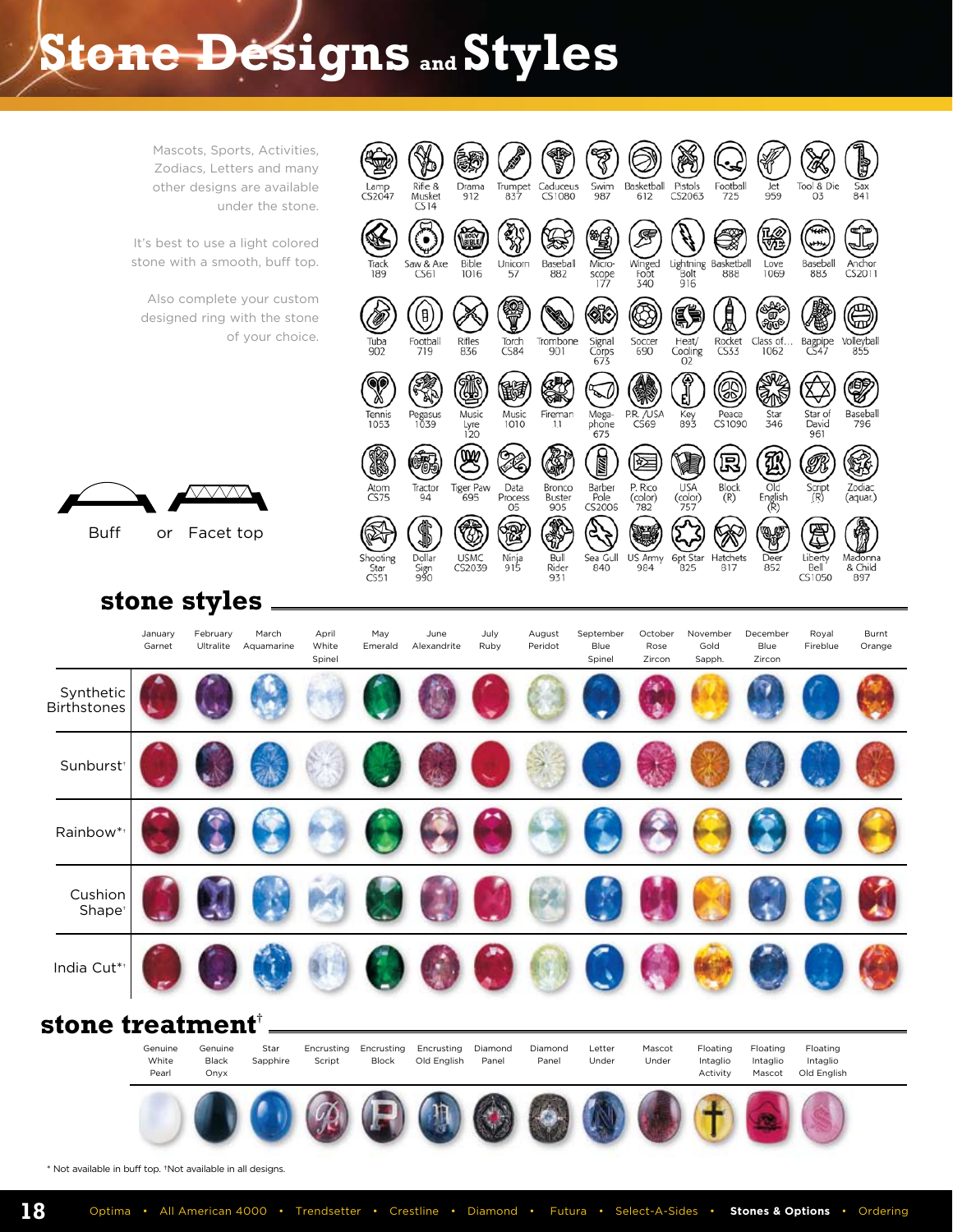## **Stone Designs and Styles**



\* Not available in buff top. †Not available in all designs.